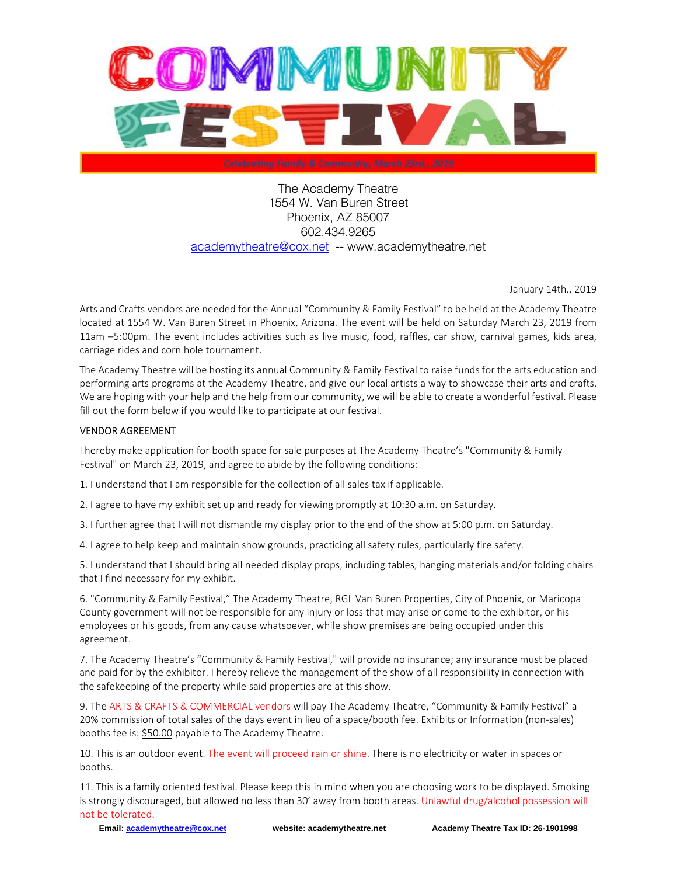

The Academy Theatre 1554 W. Van Buren Street Phoenix, AZ 85007 602.434.9265 academytheatre@cox.net -- www.academytheatre.net

January 14th., 2019

Arts and Crafts vendors are needed for the Annual "Community & Family Festival" to be held at the Academy Theatre located at 1554 W. Van Buren Street in Phoenix, Arizona. The event will be held on Saturday March 23, 2019 from 11am –5:00pm. The event includes activities such as live music, food, raffles, car show, carnival games, kids area, carriage rides and corn hole tournament.

The Academy Theatre will be hosting its annual Community & Family Festival to raise funds for the arts education and performing arts programs at the Academy Theatre, and give our local artists a way to showcase their arts and crafts. We are hoping with your help and the help from our community, we will be able to create a wonderful festival. Please fill out the form below if you would like to participate at our festival.

## VENDOR AGREEMENT

I hereby make application for booth space for sale purposes at The Academy Theatre's "Community & Family Festival" on March 23, 2019, and agree to abide by the following conditions:

1. I understand that I am responsible for the collection of all sales tax if applicable.

2. I agree to have my exhibit set up and ready for viewing promptly at 10:30 a.m. on Saturday.

3. I further agree that I will not dismantle my display prior to the end of the show at 5:00 p.m. on Saturday.

4. I agree to help keep and maintain show grounds, practicing all safety rules, particularly fire safety.

5. I understand that I should bring all needed display props, including tables, hanging materials and/or folding chairs that I find necessary for my exhibit.

6. "Community & Family Festival," The Academy Theatre, RGL Van Buren Properties, City of Phoenix, or Maricopa County government will not be responsible for any injury or loss that may arise or come to the exhibitor, or his employees or his goods, from any cause whatsoever, while show premises are being occupied under this agreement.

7. The Academy Theatre's "Community & Family Festival," will provide no insurance; any insurance must be placed and paid for by the exhibitor. I hereby relieve the management of the show of all responsibility in connection with the safekeeping of the property while said properties are at this show.

9. The ARTS & CRAFTS & COMMERCIAL vendors will pay The Academy Theatre, "Community & Family Festival" a 20% commission of total sales of the days event in lieu of a space/booth fee. Exhibits or Information (non-sales) booths fee is: \$50.00 payable to The Academy Theatre.

10. This is an outdoor event. The event will proceed rain or shine. There is no electricity or water in spaces or booths.

11. This is a family oriented festival. Please keep this in mind when you are choosing work to be displayed. Smoking is strongly discouraged, but allowed no less than 30' away from booth areas. Unlawful drug/alcohol possession will not be tolerated.